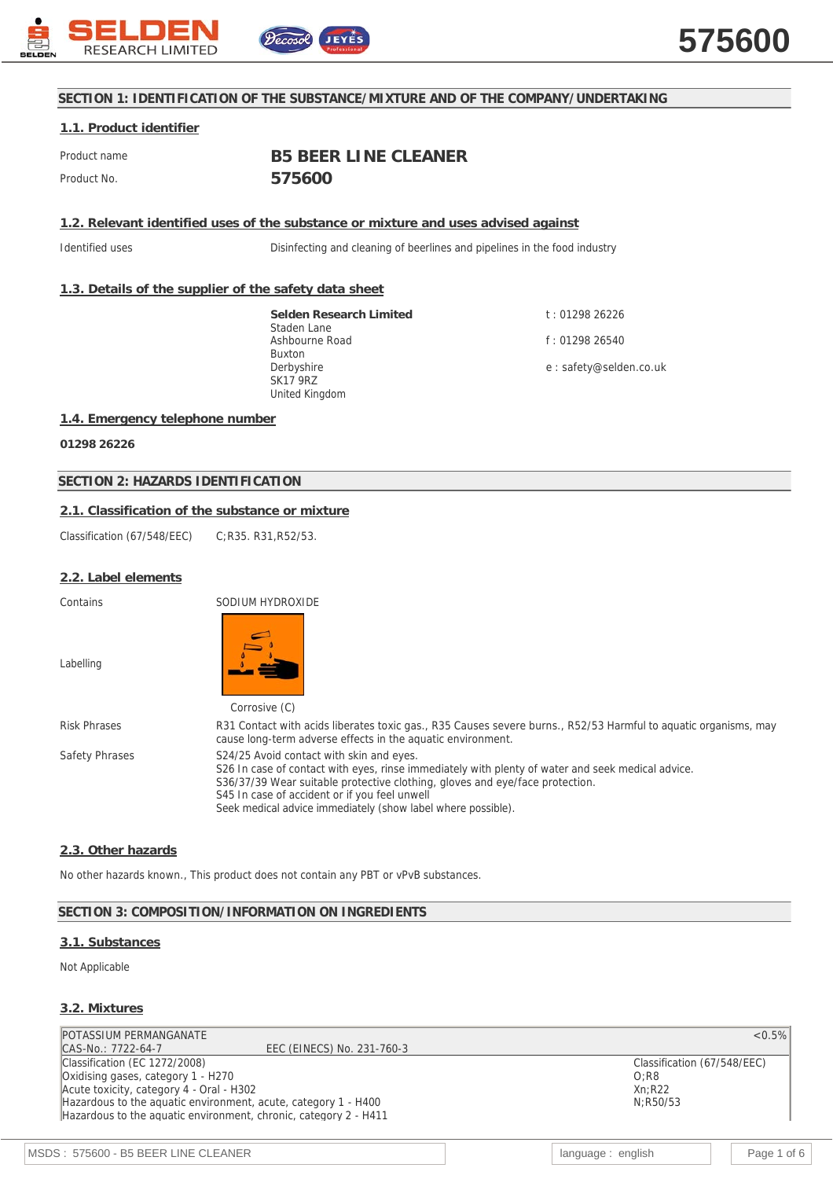

## **SECTION 1: IDENTIFICATION OF THE SUBSTANCE/MIXTURE AND OF THE COMPANY/UNDERTAKING**

## **1.1. Product identifier**

Product name **B5 BEER LINE CLEANER** Product No. **575600**

**1.2. Relevant identified uses of the substance or mixture and uses advised against**

Identified uses Disinfecting and cleaning of beerlines and pipelines in the food industry

## **1.3. Details of the supplier of the safety data sheet**

**Selden Research Limited** Staden Lane Ashbourne Road Buxton Derbyshire SK17 9RZ United Kingdom

t : 01298 26226 f : 01298 26540 e : safety@selden.co.uk

#### **1.4. Emergency telephone number**

**01298 26226**

## **SECTION 2: HAZARDS IDENTIFICATION**

## **2.1. Classification of the substance or mixture**

Classification (67/548/EEC) C;R35. R31,R52/53.

#### **2.2. Label elements**

Contains SODIUM HYDROXIDE

Labelling



|                | <b>CULLUSIVE</b> (U)                                                                                                                                                                                                                                                           |
|----------------|--------------------------------------------------------------------------------------------------------------------------------------------------------------------------------------------------------------------------------------------------------------------------------|
| Risk Phrases   | R31 Contact with acids liberates toxic gas., R35 Causes severe burns., R52/53 Harmful to aquatic organisms, may<br>cause long-term adverse effects in the aquatic environment.                                                                                                 |
| Safety Phrases | S24/25 Avoid contact with skin and eyes.<br>S26 In case of contact with eyes, rinse immediately with plenty of water and seek medical advice.<br>S36/37/39 Wear suitable protective clothing, gloves and eye/face protection.<br>S45 In case of accident or if you feel unwell |
|                | Seek medical advice immediately (show label where possible).                                                                                                                                                                                                                   |

#### **2.3. Other hazards**

No other hazards known., This product does not contain any PBT or vPvB substances.

## **SECTION 3: COMPOSITION/INFORMATION ON INGREDIENTS**

#### **3.1. Substances**

#### Not Applicable

#### **3.2. Mixtures**

POTASSIUM PERMANGANATE <0.5% <0.5% <0.5% <0.5% <0.5% <0.5% <0.5% <0.5% <0.5% <0.5% <0.5% <0.5% <0.5% <0.5% <0.5% <0.5% <0.5% <0.5% <0.5% <0.5% <0.5% <0.5% <0.5% <0.5% <0.5% <0.5% <0.5% <0.5% <0.5% <0.5% <0.5% <0.5% <0.5% < EEC (EINECS) No. 231-760-3 Classification (EC 1272/2008) Oxidising gases, category 1 - H270 Acute toxicity, category 4 - Oral - H302 Hazardous to the aquatic environment, acute, category 1 - H400 Hazardous to the aquatic environment, chronic, category 2 - H411

Classification (67/548/EEC) O;R8 Xn;R22 N;R50/53

MSDS : 575600 - B5 BEER LINE CLEANER language : english Page 1 of 6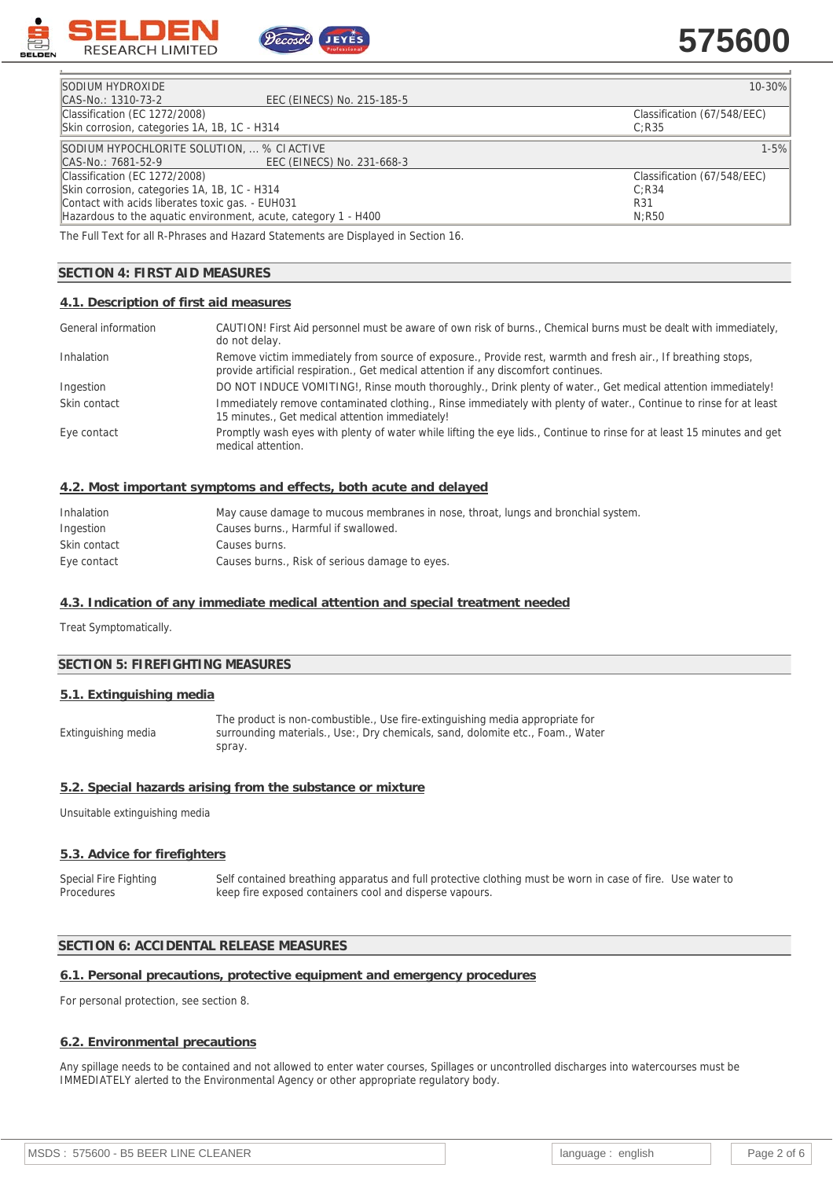

# **575600**

| Classification (67/548/EEC) |
|-----------------------------|
|                             |
| $1 - 5%$                    |
|                             |
| Classification (67/548/EEC) |
|                             |
|                             |
|                             |
|                             |

The Full Text for all R-Phrases and Hazard Statements are Displayed in Section 16.

# **SECTION 4: FIRST AID MEASURES**

## **4.1. Description of first aid measures**

| General information | CAUTION! First Aid personnel must be aware of own risk of burns., Chemical burns must be dealt with immediately,<br>do not delay.                                                                   |
|---------------------|-----------------------------------------------------------------------------------------------------------------------------------------------------------------------------------------------------|
| Inhalation          | Remove victim immediately from source of exposure., Provide rest, warmth and fresh air., If breathing stops,<br>provide artificial respiration., Get medical attention if any discomfort continues. |
| Ingestion           | DO NOT INDUCE VOMITING!, Rinse mouth thoroughly., Drink plenty of water., Get medical attention immediately!                                                                                        |
| Skin contact        | Immediately remove contaminated clothing., Rinse immediately with plenty of water., Continue to rinse for at least<br>15 minutes., Get medical attention immediately!                               |
| Eye contact         | Promptly wash eyes with plenty of water while lifting the eye lids., Continue to rinse for at least 15 minutes and get<br>medical attention.                                                        |

#### **4.2. Most important symptoms and effects, both acute and delayed**

| Inhalation   | May cause damage to mucous membranes in nose, throat, lungs and bronchial system. |
|--------------|-----------------------------------------------------------------------------------|
| Ingestion    | Causes burns., Harmful if swallowed.                                              |
| Skin contact | Causes burns.                                                                     |
| Eye contact  | Causes burns., Risk of serious damage to eyes.                                    |

## **4.3. Indication of any immediate medical attention and special treatment needed**

Treat Symptomatically.

## **SECTION 5: FIREFIGHTING MEASURES**

#### **5.1. Extinguishing media**

Extinguishing media

The product is non-combustible., Use fire-extinguishing media appropriate for surrounding materials., Use:, Dry chemicals, sand, dolomite etc., Foam., Water spray.

#### **5.2. Special hazards arising from the substance or mixture**

Unsuitable extinguishing media

#### **5.3. Advice for firefighters**

Special Fire Fighting **Procedures** Self contained breathing apparatus and full protective clothing must be worn in case of fire. Use water to keep fire exposed containers cool and disperse vapours.

#### **SECTION 6: ACCIDENTAL RELEASE MEASURES**

#### **6.1. Personal precautions, protective equipment and emergency procedures**

For personal protection, see section 8.

#### **6.2. Environmental precautions**

Any spillage needs to be contained and not allowed to enter water courses, Spillages or uncontrolled discharges into watercourses must be IMMEDIATELY alerted to the Environmental Agency or other appropriate regulatory body.

| MSDS: 575600 - B5 BEER LINE CLEANER | language<br>english | Page 2 of 6 |
|-------------------------------------|---------------------|-------------|
|-------------------------------------|---------------------|-------------|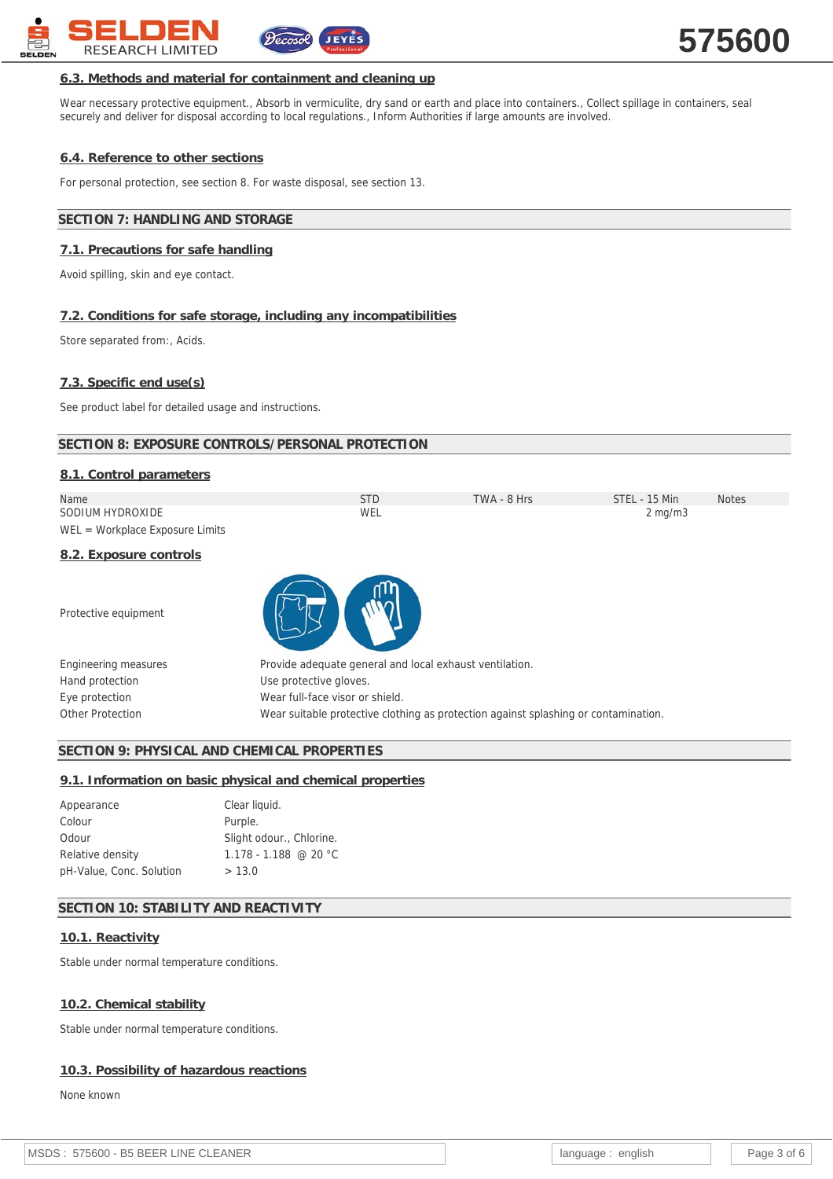

# **6.3. Methods and material for containment and cleaning up**

Wear necessary protective equipment., Absorb in vermiculite, dry sand or earth and place into containers., Collect spillage in containers, seal securely and deliver for disposal according to local regulations., Inform Authorities if large amounts are involved.

# **6.4. Reference to other sections**

For personal protection, see section 8. For waste disposal, see section 13.

# **SECTION 7: HANDLING AND STORAGE**

# **7.1. Precautions for safe handling**

Avoid spilling, skin and eye contact.

# **7.2. Conditions for safe storage, including any incompatibilities**

Store separated from:, Acids.

# **7.3. Specific end use(s)**

See product label for detailed usage and instructions.

# **SECTION 8: EXPOSURE CONTROLS/PERSONAL PROTECTION**

| 8.1. Control parameters           |            |             |                  |              |
|-----------------------------------|------------|-------------|------------------|--------------|
| Name                              | <b>STD</b> | TWA - 8 Hrs | STEL - 15 Min    | <b>Notes</b> |
| SODIUM HYDROXIDE                  | WEL        |             | $2 \text{ mg/m}$ |              |
| $WEL = Workplace Exposure Limits$ |            |             |                  |              |

# **8.2. Exposure controls**

Protective equipment



| Engineering measures | Provide adequate general and local exhaust ventilation.                             |
|----------------------|-------------------------------------------------------------------------------------|
| Hand protection      | Use protective gloves.                                                              |
| Eye protection       | Wear full-face visor or shield.                                                     |
| Other Protection     | Wear suitable protective clothing as protection against splashing or contamination. |

# **SECTION 9: PHYSICAL AND CHEMICAL PROPERTIES**

# **9.1. Information on basic physical and chemical properties**

| Appearance               | Clear liquid.            |
|--------------------------|--------------------------|
| Colour                   | Purple.                  |
| Odour                    | Slight odour., Chlorine. |
| Relative density         | $1.178 - 1.188$ @ 20 °C  |
| pH-Value, Conc. Solution | > 13.0                   |

# **SECTION 10: STABILITY AND REACTIVITY**

# **10.1. Reactivity**

Stable under normal temperature conditions.

# **10.2. Chemical stability**

Stable under normal temperature conditions.

# **10.3. Possibility of hazardous reactions**

None known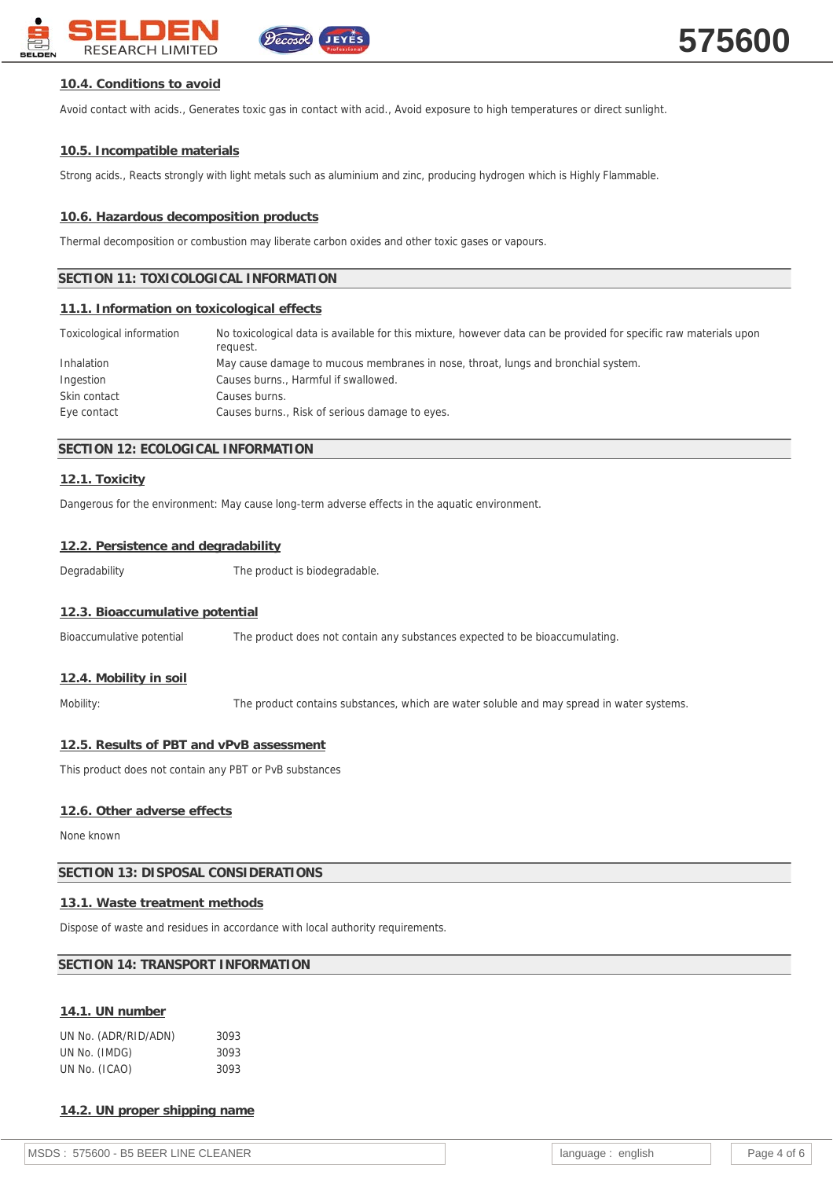

# **10.4. Conditions to avoid**

Avoid contact with acids., Generates toxic gas in contact with acid., Avoid exposure to high temperatures or direct sunlight.

# **10.5. Incompatible materials**

Strong acids., Reacts strongly with light metals such as aluminium and zinc, producing hydrogen which is Highly Flammable.

# **10.6. Hazardous decomposition products**

Thermal decomposition or combustion may liberate carbon oxides and other toxic gases or vapours.

# **SECTION 11: TOXICOLOGICAL INFORMATION**

# **11.1. Information on toxicological effects**

| Toxicological information | No toxicological data is available for this mixture, however data can be provided for specific raw materials upon<br>request. |
|---------------------------|-------------------------------------------------------------------------------------------------------------------------------|
| Inhalation                | May cause damage to mucous membranes in nose, throat, lungs and bronchial system.                                             |
| Ingestion                 | Causes burns., Harmful if swallowed.                                                                                          |
| Skin contact              | Causes burns.                                                                                                                 |
| Eye contact               | Causes burns., Risk of serious damage to eyes.                                                                                |

## **SECTION 12: ECOLOGICAL INFORMATION**

## **12.1. Toxicity**

Dangerous for the environment: May cause long-term adverse effects in the aquatic environment.

#### **12.2. Persistence and degradability**

Degradability The product is biodegradable.

## **12.3. Bioaccumulative potential**

Bioaccumulative potential The product does not contain any substances expected to be bioaccumulating.

## **12.4. Mobility in soil**

Mobility: The product contains substances, which are water soluble and may spread in water systems.

## **12.5. Results of PBT and vPvB assessment**

This product does not contain any PBT or PvB substances

## **12.6. Other adverse effects**

None known

## **SECTION 13: DISPOSAL CONSIDERATIONS**

## **13.1. Waste treatment methods**

Dispose of waste and residues in accordance with local authority requirements.

## **SECTION 14: TRANSPORT INFORMATION**

## **14.1. UN number**

| UN No. (ADR/RID/ADN) | 3093 |
|----------------------|------|
| UN No. (IMDG)        | 3093 |
| UN No. (ICAO)        | 3093 |

**14.2. UN proper shipping name**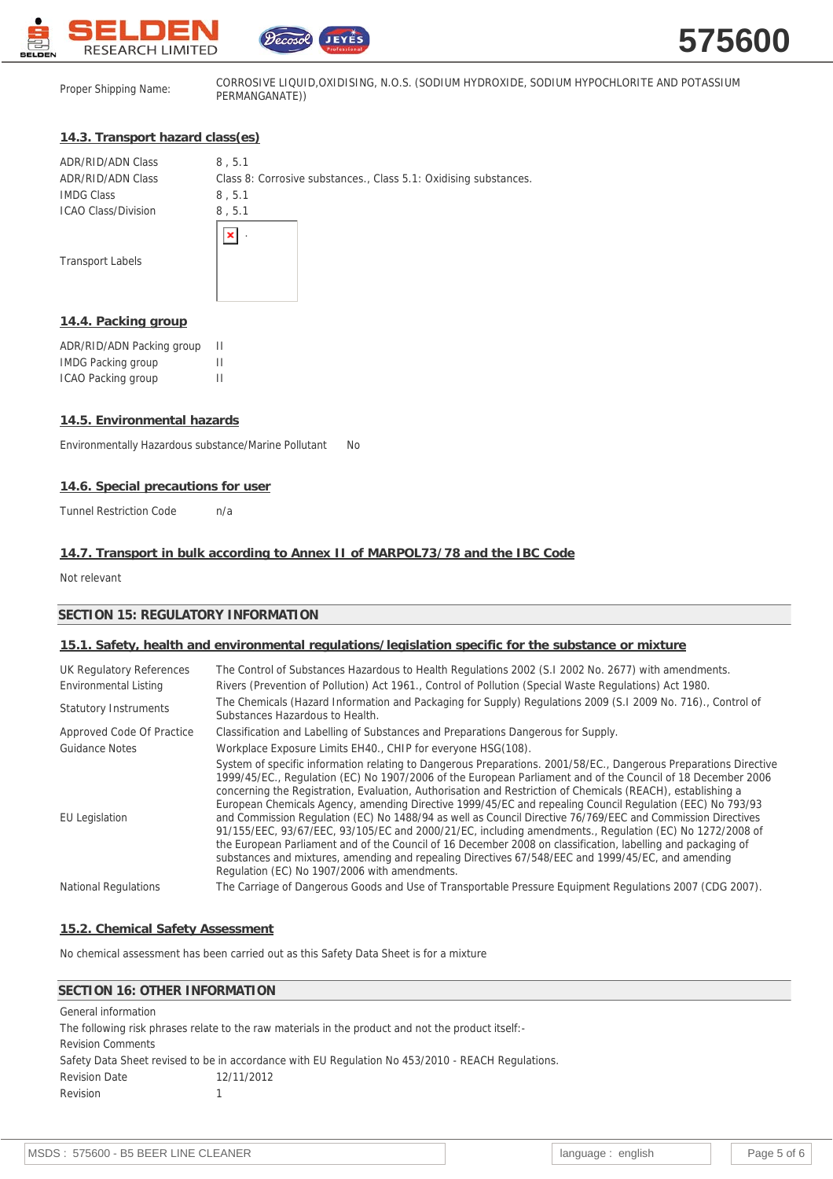



Proper Shipping Name: CORROSIVE LIQUID,OXIDISING, N.O.S. (SODIUM HYDROXIDE, SODIUM HYPOCHLORITE AND POTASSIUM PERMANGANATE))

# **14.3. Transport hazard class(es)**

| ADR/RID/ADN Class          | 8, 5.1                                                           |
|----------------------------|------------------------------------------------------------------|
| ADR/RID/ADN Class          | Class 8: Corrosive substances., Class 5.1: Oxidising substances. |
| <b>IMDG Class</b>          | 8, 5.1                                                           |
| <b>ICAO Class/Division</b> | 8, 5.1                                                           |
|                            | ٠.                                                               |
| <b>Transport Labels</b>    |                                                                  |
|                            |                                                                  |
|                            |                                                                  |

 $\sim$ 

#### **14.4. Packing group**

| ADR/RID/ADN Packing group | Ш |
|---------------------------|---|
| <b>IMDG Packing group</b> | н |
| ICAO Packing group        | н |

## **14.5. Environmental hazards**

Environmentally Hazardous substance/Marine Pollutant No

#### **14.6. Special precautions for user**

Tunnel Restriction Code n/a

#### **14.7. Transport in bulk according to Annex II of MARPOL73/78 and the IBC Code**

Not relevant

## **SECTION 15: REGULATORY INFORMATION**

## **15.1. Safety, health and environmental regulations/legislation specific for the substance or mixture**

| UK Regulatory References<br>Environmental Listing | The Control of Substances Hazardous to Health Regulations 2002 (S.1 2002 No. 2677) with amendments.<br>Rivers (Prevention of Pollution) Act 1961., Control of Pollution (Special Waste Regulations) Act 1980.                                                                                                                                                                                                                                                                                                                                                                                                                                                                                                                                                                                                                                                                                                                                                |
|---------------------------------------------------|--------------------------------------------------------------------------------------------------------------------------------------------------------------------------------------------------------------------------------------------------------------------------------------------------------------------------------------------------------------------------------------------------------------------------------------------------------------------------------------------------------------------------------------------------------------------------------------------------------------------------------------------------------------------------------------------------------------------------------------------------------------------------------------------------------------------------------------------------------------------------------------------------------------------------------------------------------------|
| <b>Statutory Instruments</b>                      | The Chemicals (Hazard Information and Packaging for Supply) Regulations 2009 (S.I 2009 No. 716)., Control of<br>Substances Hazardous to Health.                                                                                                                                                                                                                                                                                                                                                                                                                                                                                                                                                                                                                                                                                                                                                                                                              |
| Approved Code Of Practice                         | Classification and Labelling of Substances and Preparations Dangerous for Supply.                                                                                                                                                                                                                                                                                                                                                                                                                                                                                                                                                                                                                                                                                                                                                                                                                                                                            |
| <b>Guidance Notes</b>                             | Workplace Exposure Limits EH40., CHIP for everyone HSG(108).                                                                                                                                                                                                                                                                                                                                                                                                                                                                                                                                                                                                                                                                                                                                                                                                                                                                                                 |
| <b>EU Legislation</b>                             | System of specific information relating to Dangerous Preparations. 2001/58/EC., Dangerous Preparations Directive<br>1999/45/EC., Regulation (EC) No 1907/2006 of the European Parliament and of the Council of 18 December 2006<br>concerning the Registration, Evaluation, Authorisation and Restriction of Chemicals (REACH), establishing a<br>European Chemicals Agency, amending Directive 1999/45/EC and repealing Council Regulation (EEC) No 793/93<br>and Commission Regulation (EC) No 1488/94 as well as Council Directive 76/769/EEC and Commission Directives<br>91/155/EEC, 93/67/EEC, 93/105/EC and 2000/21/EC, including amendments., Regulation (EC) No 1272/2008 of<br>the European Parliament and of the Council of 16 December 2008 on classification, labelling and packaging of<br>substances and mixtures, amending and repealing Directives 67/548/EEC and 1999/45/EC, and amending<br>Regulation (EC) No 1907/2006 with amendments. |
| <b>National Regulations</b>                       | The Carriage of Dangerous Goods and Use of Transportable Pressure Equipment Regulations 2007 (CDG 2007).                                                                                                                                                                                                                                                                                                                                                                                                                                                                                                                                                                                                                                                                                                                                                                                                                                                     |

# **15.2. Chemical Safety Assessment**

No chemical assessment has been carried out as this Safety Data Sheet is for a mixture

# **SECTION 16: OTHER INFORMATION**

| General information                                                                                |            |  |
|----------------------------------------------------------------------------------------------------|------------|--|
| The following risk phrases relate to the raw materials in the product and not the product itself:- |            |  |
| <b>Revision Comments</b>                                                                           |            |  |
| Safety Data Sheet revised to be in accordance with EU Regulation No 453/2010 - REACH Regulations.  |            |  |
| <b>Revision Date</b>                                                                               | 12/11/2012 |  |
| Revision                                                                                           |            |  |